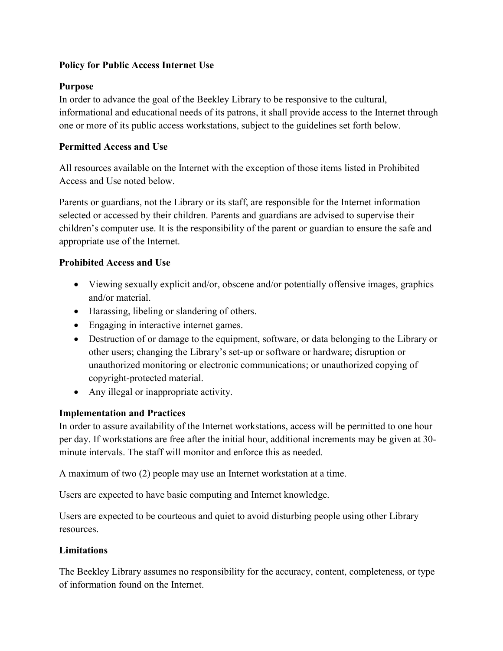## Policy for Public Access Internet Use

## Purpose

In order to advance the goal of the Beekley Library to be responsive to the cultural, informational and educational needs of its patrons, it shall provide access to the Internet through one or more of its public access workstations, subject to the guidelines set forth below.

## Permitted Access and Use

All resources available on the Internet with the exception of those items listed in Prohibited Access and Use noted below.

Parents or guardians, not the Library or its staff, are responsible for the Internet information selected or accessed by their children. Parents and guardians are advised to supervise their children's computer use. It is the responsibility of the parent or guardian to ensure the safe and appropriate use of the Internet.

## Prohibited Access and Use

- Viewing sexually explicit and/or, obscene and/or potentially offensive images, graphics and/or material.
- Harassing, libeling or slandering of others.
- Engaging in interactive internet games.
- Destruction of or damage to the equipment, software, or data belonging to the Library or other users; changing the Library's set-up or software or hardware; disruption or unauthorized monitoring or electronic communications; or unauthorized copying of copyright-protected material.
- Any illegal or inappropriate activity.

### Implementation and Practices

In order to assure availability of the Internet workstations, access will be permitted to one hour per day. If workstations are free after the initial hour, additional increments may be given at 30 minute intervals. The staff will monitor and enforce this as needed.

A maximum of two (2) people may use an Internet workstation at a time.

Users are expected to have basic computing and Internet knowledge.

Users are expected to be courteous and quiet to avoid disturbing people using other Library resources.

# **Limitations**

The Beekley Library assumes no responsibility for the accuracy, content, completeness, or type of information found on the Internet.